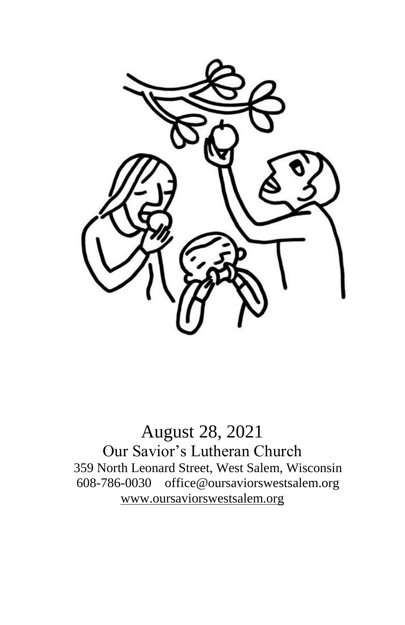

August 28, 2021 Our Savior's Lutheran Church 359 North Leonard Street, West Salem, Wisconsin 608-786-0030 office@oursaviorswestsalem.org [www.oursaviorswestsalem.org](http://www.oursaviorswestsalem.org/)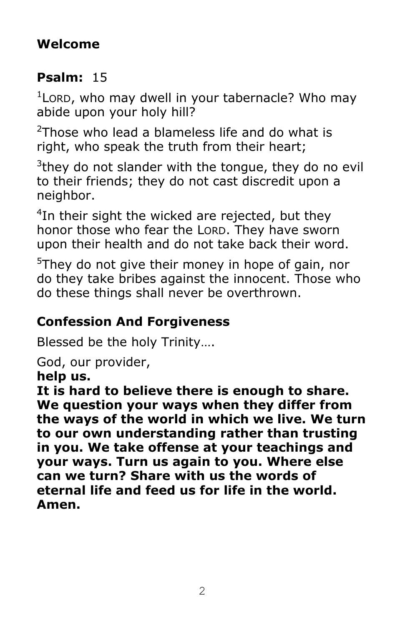### **Welcome**

## **Psalm:** 15

<sup>1</sup> Lord, who may dwell in your tabernacle? Who may abide upon your holy hill?

 $2$ Those who lead a blameless life and do what is right, who speak the truth from their heart;

 $3$ they do not slander with the tongue, they do no evil to their friends; they do not cast discredit upon a neighbor.

<sup>4</sup>In their sight the wicked are rejected, but they honor those who fear the LORD. They have sworn upon their health and do not take back their word.

 $5$ They do not give their money in hope of gain, nor do they take bribes against the innocent. Those who do these things shall never be overthrown.

# **Confession And Forgiveness**

Blessed be the holy Trinity….

God, our provider,

**help us.**

**It is hard to believe there is enough to share. We question your ways when they differ from the ways of the world in which we live. We turn to our own understanding rather than trusting in you. We take offense at your teachings and your ways. Turn us again to you. Where else can we turn? Share with us the words of eternal life and feed us for life in the world. Amen.**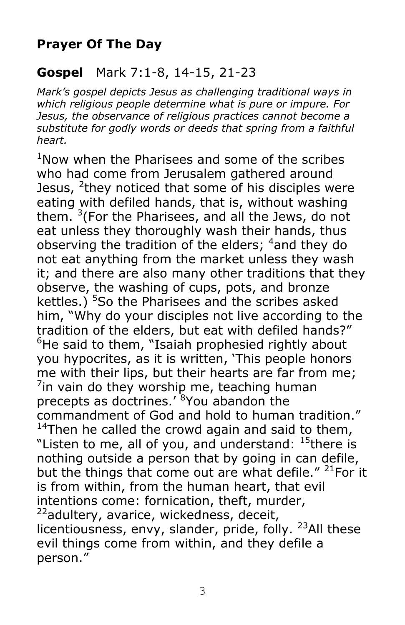### **Prayer Of The Day**

#### **Gospel** Mark 7:1-8, 14-15, 21-23

*Mark's gospel depicts Jesus as challenging traditional ways in which religious people determine what is pure or impure. For Jesus, the observance of religious practices cannot become a substitute for godly words or deeds that spring from a faithful heart.*

 $1$ Now when the Pharisees and some of the scribes who had come from Jerusalem gathered around Jesus, <sup>2</sup>they noticed that some of his disciples were eating with defiled hands, that is, without washing them.  $3$ (For the Pharisees, and all the Jews, do not eat unless they thoroughly wash their hands, thus observing the tradition of the elders; <sup>4</sup>and they do not eat anything from the market unless they wash it; and there are also many other traditions that they observe, the washing of cups, pots, and bronze kettles.) <sup>5</sup>So the Pharisees and the scribes asked him, "Why do your disciples not live according to the tradition of the elders, but eat with defiled hands?"  $6$ He said to them, "Isaiah prophesied rightly about you hypocrites, as it is written, 'This people honors me with their lips, but their hearts are far from me;  $\frac{7}{1}$ in vain do they worship me, teaching human precepts as doctrines.<sup>'8</sup> You abandon the commandment of God and hold to human tradition." <sup>14</sup>Then he called the crowd again and said to them, "Listen to me, all of you, and understand:  $15$  there is nothing outside a person that by going in can defile, but the things that come out are what defile." <sup>21</sup>For it is from within, from the human heart, that evil intentions come: fornication, theft, murder, <sup>22</sup>adultery, avarice, wickedness, deceit, licentiousness, envy, slander, pride, folly.  $^{23}$ All these evil things come from within, and they defile a person."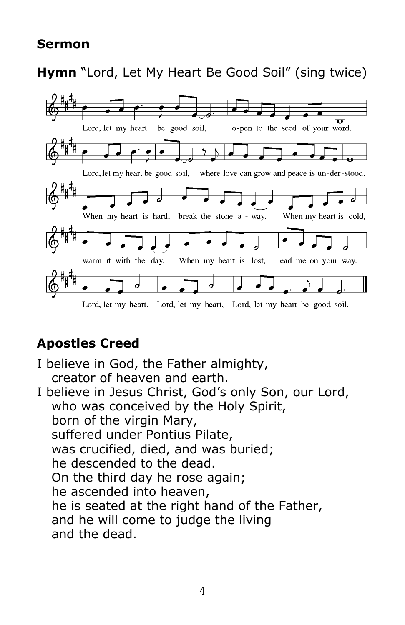#### **Sermon**

**Hymn** "Lord, Let My Heart Be Good Soil" (sing twice)



### **Apostles Creed**

I believe in God, the Father almighty, creator of heaven and earth. I believe in Jesus Christ, God's only Son, our Lord, who was conceived by the Holy Spirit, born of the virgin Mary, suffered under Pontius Pilate, was crucified, died, and was buried; he descended to the dead. On the third day he rose again; he ascended into heaven, he is seated at the right hand of the Father, and he will come to judge the living and the dead.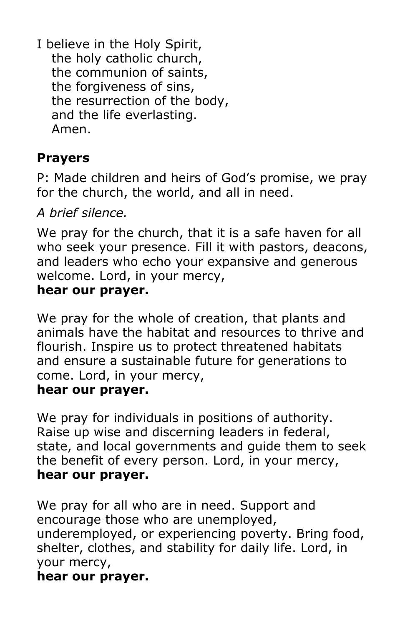I believe in the Holy Spirit, the holy catholic church, the communion of saints, the forgiveness of sins, the resurrection of the body, and the life everlasting. Amen.

### **Prayers**

P: Made children and heirs of God's promise, we pray for the church, the world, and all in need.

*A brief silence.*

We pray for the church, that it is a safe haven for all who seek your presence. Fill it with pastors, deacons, and leaders who echo your expansive and generous welcome. Lord, in your mercy, **hear our prayer.**

We pray for the whole of creation, that plants and animals have the habitat and resources to thrive and flourish. Inspire us to protect threatened habitats and ensure a sustainable future for generations to come. Lord, in your mercy, **hear our prayer.**

We pray for individuals in positions of authority. Raise up wise and discerning leaders in federal, state, and local governments and guide them to seek the benefit of every person. Lord, in your mercy, **hear our prayer.**

We pray for all who are in need. Support and encourage those who are unemployed, underemployed, or experiencing poverty. Bring food, shelter, clothes, and stability for daily life. Lord, in your mercy, **hear our prayer.**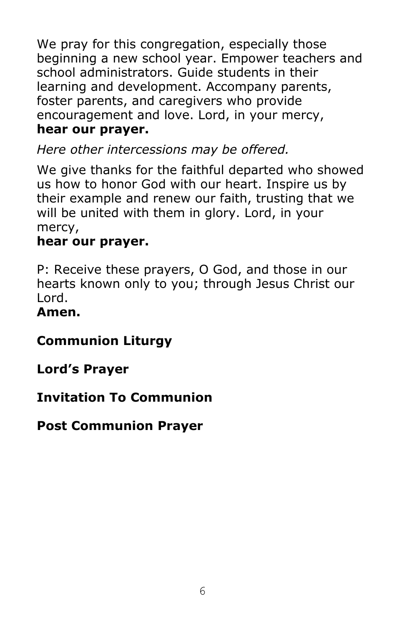We pray for this congregation, especially those beginning a new school year. Empower teachers and school administrators. Guide students in their learning and development. Accompany parents, foster parents, and caregivers who provide encouragement and love. Lord, in your mercy, **hear our prayer.**

*Here other intercessions may be offered.*

We give thanks for the faithful departed who showed us how to honor God with our heart. Inspire us by their example and renew our faith, trusting that we will be united with them in glory. Lord, in your mercy,

### **hear our prayer.**

P: Receive these prayers, O God, and those in our hearts known only to you; through Jesus Christ our Lord.

#### **Amen.**

### **Communion Liturgy**

**Lord's Prayer**

### **Invitation To Communion**

**Post Communion Prayer**